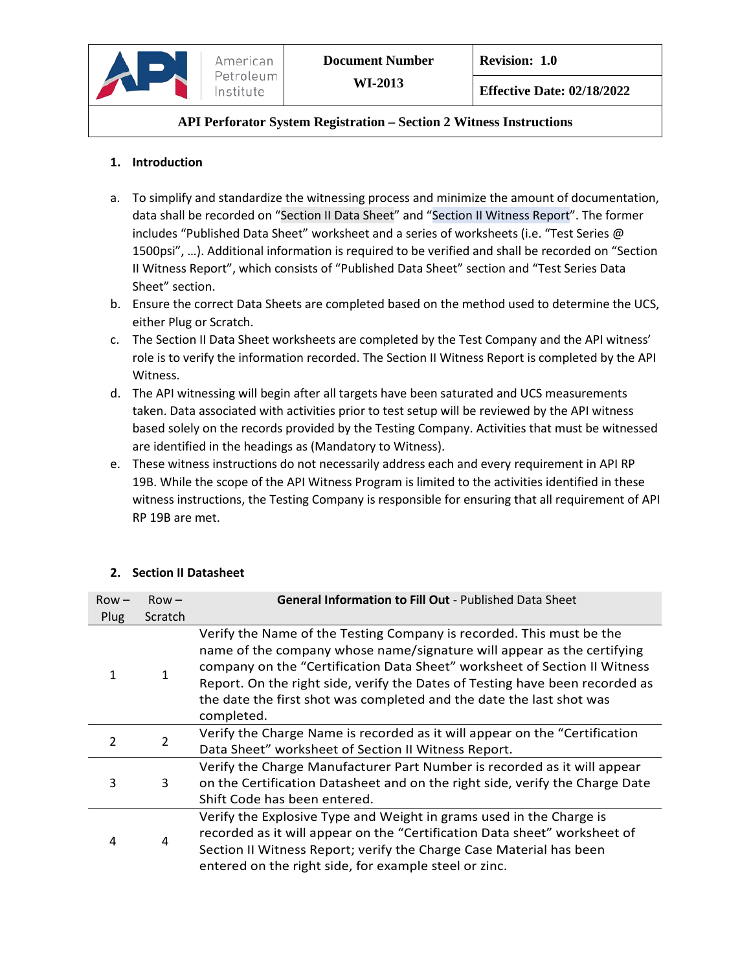

## **1. Introduction**

- a. To simplify and standardize the witnessing process and minimize the amount of documentation, data shall be recorded on "Section II Data Sheet" and "Section II Witness Report". The former includes "Published Data Sheet" worksheet and a series of worksheets (i.e. "Test Series @ 1500psi", …). Additional information is required to be verified and shall be recorded on "Section II Witness Report", which consists of "Published Data Sheet" section and "Test Series Data Sheet" section.
- b. Ensure the correct Data Sheets are completed based on the method used to determine the UCS, either Plug or Scratch.
- c. The Section II Data Sheet worksheets are completed by the Test Company and the API witness' role is to verify the information recorded. The Section II Witness Report is completed by the API Witness.
- d. The API witnessing will begin after all targets have been saturated and UCS measurements taken. Data associated with activities prior to test setup will be reviewed by the API witness based solely on the records provided by the Testing Company. Activities that must be witnessed are identified in the headings as (Mandatory to Witness).
- e. These witness instructions do not necessarily address each and every requirement in API RP 19B. While the scope of the API Witness Program is limited to the activities identified in these witness instructions, the Testing Company is responsible for ensuring that all requirement of API RP 19B are met.

| $Row -$<br>Plug | $Row -$<br>Scratch | <b>General Information to Fill Out - Published Data Sheet</b>                                                                                                                                                                                                                                                                                                                                     |
|-----------------|--------------------|---------------------------------------------------------------------------------------------------------------------------------------------------------------------------------------------------------------------------------------------------------------------------------------------------------------------------------------------------------------------------------------------------|
| 1               |                    | Verify the Name of the Testing Company is recorded. This must be the<br>name of the company whose name/signature will appear as the certifying<br>company on the "Certification Data Sheet" worksheet of Section II Witness<br>Report. On the right side, verify the Dates of Testing have been recorded as<br>the date the first shot was completed and the date the last shot was<br>completed. |
| $\mathcal{P}$   | $\overline{2}$     | Verify the Charge Name is recorded as it will appear on the "Certification<br>Data Sheet" worksheet of Section II Witness Report.                                                                                                                                                                                                                                                                 |
| 3               | 3                  | Verify the Charge Manufacturer Part Number is recorded as it will appear<br>on the Certification Datasheet and on the right side, verify the Charge Date<br>Shift Code has been entered.                                                                                                                                                                                                          |
| 4               | 4                  | Verify the Explosive Type and Weight in grams used in the Charge is<br>recorded as it will appear on the "Certification Data sheet" worksheet of<br>Section II Witness Report; verify the Charge Case Material has been<br>entered on the right side, for example steel or zinc.                                                                                                                  |

# **2. Section II Datasheet**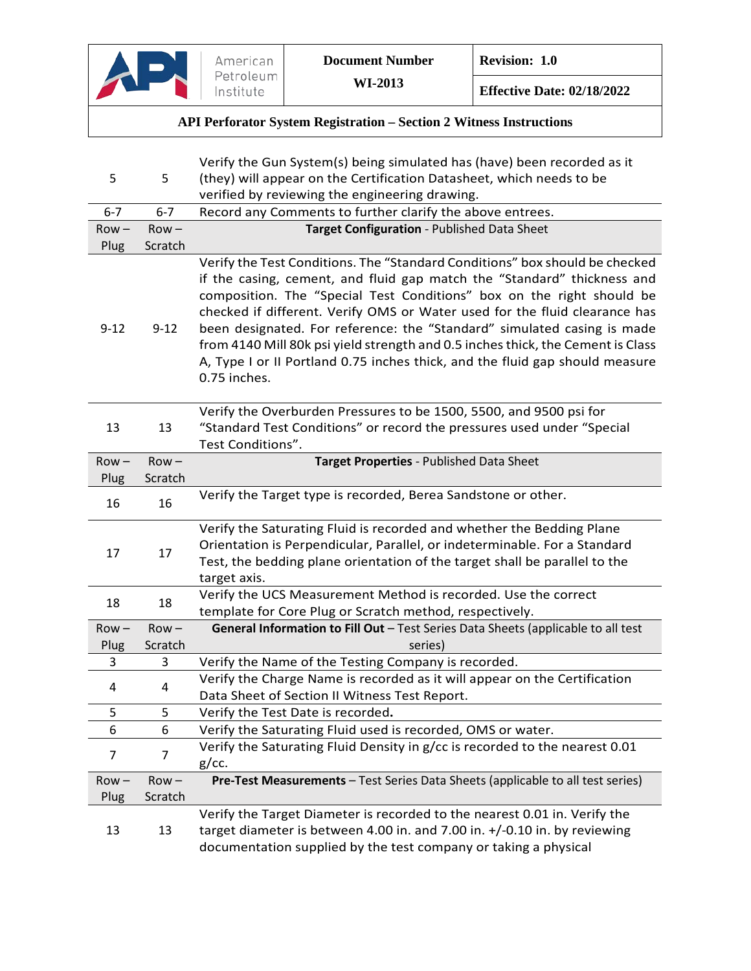| 5        | 5        | Verify the Gun System(s) being simulated has (have) been recorded as it<br>(they) will appear on the Certification Datasheet, which needs to be<br>verified by reviewing the engineering drawing.                                                                                                                                                                                                                                                                                                                                                                           |
|----------|----------|-----------------------------------------------------------------------------------------------------------------------------------------------------------------------------------------------------------------------------------------------------------------------------------------------------------------------------------------------------------------------------------------------------------------------------------------------------------------------------------------------------------------------------------------------------------------------------|
| $6 - 7$  | $6 - 7$  | Record any Comments to further clarify the above entrees.                                                                                                                                                                                                                                                                                                                                                                                                                                                                                                                   |
| $Row -$  | $Row -$  | Target Configuration - Published Data Sheet                                                                                                                                                                                                                                                                                                                                                                                                                                                                                                                                 |
| Plug     | Scratch  |                                                                                                                                                                                                                                                                                                                                                                                                                                                                                                                                                                             |
| $9 - 12$ | $9 - 12$ | Verify the Test Conditions. The "Standard Conditions" box should be checked<br>if the casing, cement, and fluid gap match the "Standard" thickness and<br>composition. The "Special Test Conditions" box on the right should be<br>checked if different. Verify OMS or Water used for the fluid clearance has<br>been designated. For reference: the "Standard" simulated casing is made<br>from 4140 Mill 80k psi yield strength and 0.5 inches thick, the Cement is Class<br>A, Type I or II Portland 0.75 inches thick, and the fluid gap should measure<br>0.75 inches. |
| 13       | 13       | Verify the Overburden Pressures to be 1500, 5500, and 9500 psi for<br>"Standard Test Conditions" or record the pressures used under "Special<br>Test Conditions".                                                                                                                                                                                                                                                                                                                                                                                                           |
| $Row -$  | $Row -$  | Target Properties - Published Data Sheet                                                                                                                                                                                                                                                                                                                                                                                                                                                                                                                                    |
| Plug     | Scratch  |                                                                                                                                                                                                                                                                                                                                                                                                                                                                                                                                                                             |
| 16       | 16       | Verify the Target type is recorded, Berea Sandstone or other.                                                                                                                                                                                                                                                                                                                                                                                                                                                                                                               |
| 17       | 17       | Verify the Saturating Fluid is recorded and whether the Bedding Plane<br>Orientation is Perpendicular, Parallel, or indeterminable. For a Standard<br>Test, the bedding plane orientation of the target shall be parallel to the<br>target axis.                                                                                                                                                                                                                                                                                                                            |
| 18       | 18       | Verify the UCS Measurement Method is recorded. Use the correct<br>template for Core Plug or Scratch method, respectively.                                                                                                                                                                                                                                                                                                                                                                                                                                                   |
| $Row -$  | $Row -$  | General Information to Fill Out - Test Series Data Sheets (applicable to all test                                                                                                                                                                                                                                                                                                                                                                                                                                                                                           |
| Plug     | Scratch  | series)                                                                                                                                                                                                                                                                                                                                                                                                                                                                                                                                                                     |
| 3        | 3        | Verify the Name of the Testing Company is recorded.                                                                                                                                                                                                                                                                                                                                                                                                                                                                                                                         |
| 4        | 4        | Verify the Charge Name is recorded as it will appear on the Certification                                                                                                                                                                                                                                                                                                                                                                                                                                                                                                   |
|          |          | Data Sheet of Section II Witness Test Report.                                                                                                                                                                                                                                                                                                                                                                                                                                                                                                                               |
| 5        | 5        | Verify the Test Date is recorded.                                                                                                                                                                                                                                                                                                                                                                                                                                                                                                                                           |
| 6        | 6        | Verify the Saturating Fluid used is recorded, OMS or water.                                                                                                                                                                                                                                                                                                                                                                                                                                                                                                                 |
| 7        | 7        | Verify the Saturating Fluid Density in g/cc is recorded to the nearest 0.01<br>g/cc.                                                                                                                                                                                                                                                                                                                                                                                                                                                                                        |
| $Row -$  | $Row -$  | Pre-Test Measurements - Test Series Data Sheets (applicable to all test series)                                                                                                                                                                                                                                                                                                                                                                                                                                                                                             |
| Plug     | Scratch  |                                                                                                                                                                                                                                                                                                                                                                                                                                                                                                                                                                             |
| 13       | 13       | Verify the Target Diameter is recorded to the nearest 0.01 in. Verify the<br>target diameter is between 4.00 in. and 7.00 in. +/-0.10 in. by reviewing<br>documentation supplied by the test company or taking a physical                                                                                                                                                                                                                                                                                                                                                   |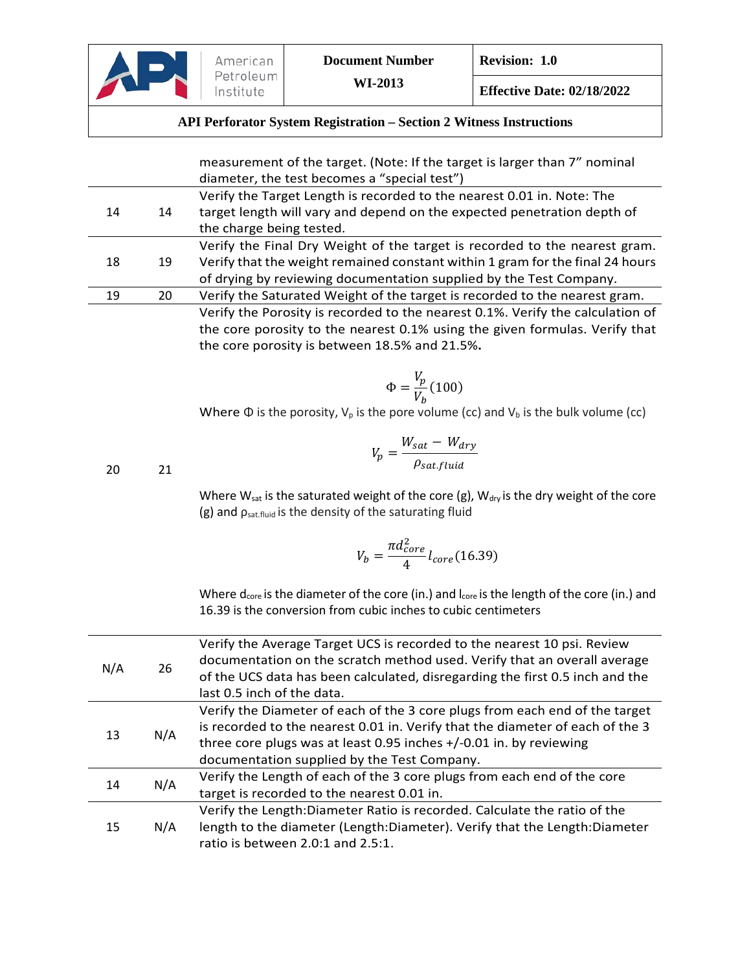

|     |     | measurement of the target. (Note: If the target is larger than 7" nominal                                           |
|-----|-----|---------------------------------------------------------------------------------------------------------------------|
|     |     | diameter, the test becomes a "special test")                                                                        |
| 14  | 14  | Verify the Target Length is recorded to the nearest 0.01 in. Note: The                                              |
|     |     | target length will vary and depend on the expected penetration depth of<br>the charge being tested.                 |
|     |     | Verify the Final Dry Weight of the target is recorded to the nearest gram.                                          |
| 18  | 19  | Verify that the weight remained constant within 1 gram for the final 24 hours                                       |
|     |     | of drying by reviewing documentation supplied by the Test Company.                                                  |
| 19  | 20  | Verify the Saturated Weight of the target is recorded to the nearest gram.                                          |
|     |     | Verify the Porosity is recorded to the nearest 0.1%. Verify the calculation of                                      |
|     |     | the core porosity to the nearest 0.1% using the given formulas. Verify that                                         |
|     |     | the core porosity is between 18.5% and 21.5%.                                                                       |
|     |     |                                                                                                                     |
|     |     | $\Phi = \frac{V_p}{V_h} (100)$                                                                                      |
|     |     |                                                                                                                     |
|     |     | Where $\Phi$ is the porosity, $V_p$ is the pore volume (cc) and $V_b$ is the bulk volume (cc)                       |
|     |     |                                                                                                                     |
|     |     | $V_p = \frac{W_{sat} - W_{dry}}{\rho_{sat,fluid}}$                                                                  |
| 20  | 21  |                                                                                                                     |
|     |     | Where $W_{sat}$ is the saturated weight of the core (g), $W_{dry}$ is the dry weight of the core                    |
|     |     | (g) and $p_{sat,fluid}$ is the density of the saturating fluid                                                      |
|     |     | $V_b = \frac{\pi d_{core}^2}{4} l_{core} (16.39)$                                                                   |
|     |     |                                                                                                                     |
|     |     | Where d <sub>core</sub> is the diameter of the core (in.) and l <sub>core</sub> is the length of the core (in.) and |
|     |     | 16.39 is the conversion from cubic inches to cubic centimeters                                                      |
|     |     |                                                                                                                     |
|     |     | Verify the Average Target UCS is recorded to the nearest 10 psi. Review                                             |
| N/A | 26  | documentation on the scratch method used. Verify that an overall average                                            |
|     |     | of the UCS data has been calculated, disregarding the first 0.5 inch and the                                        |
|     |     | last 0.5 inch of the data.                                                                                          |
|     |     | Verify the Diameter of each of the 3 core plugs from each end of the target                                         |
| 13  | N/A | is recorded to the nearest 0.01 in. Verify that the diameter of each of the 3                                       |
|     |     | three core plugs was at least 0.95 inches +/-0.01 in. by reviewing<br>documentation supplied by the Test Company.   |
|     |     |                                                                                                                     |

14 N/A Verify the Length of each of the 3 core plugs from each end of the core target is recorded to the nearest 0.01 in. Verify the Length:Diameter Ratio is recorded. Calculate the ratio of the

15 N/A length to the diameter (Length:Diameter). Verify that the Length:Diameter ratio is between 2.0:1 and 2.5:1.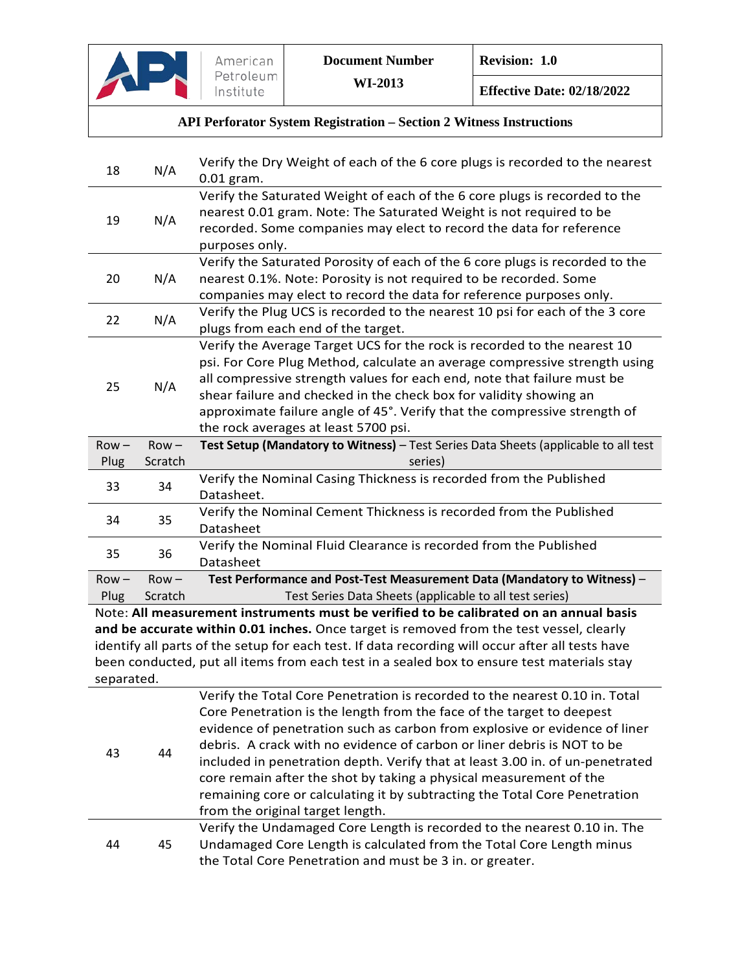

**Effective Date: 02/18/2022**

# **API Perforator System Registration – Section 2 Witness Instructions**

| 18         | N/A     | Verify the Dry Weight of each of the 6 core plugs is recorded to the nearest<br>$0.01$ gram.     |
|------------|---------|--------------------------------------------------------------------------------------------------|
| 19         |         | Verify the Saturated Weight of each of the 6 core plugs is recorded to the                       |
|            | N/A     | nearest 0.01 gram. Note: The Saturated Weight is not required to be                              |
|            |         | recorded. Some companies may elect to record the data for reference                              |
|            |         | purposes only.                                                                                   |
|            |         | Verify the Saturated Porosity of each of the 6 core plugs is recorded to the                     |
| 20         | N/A     | nearest 0.1%. Note: Porosity is not required to be recorded. Some                                |
|            |         | companies may elect to record the data for reference purposes only.                              |
| 22         | N/A     | Verify the Plug UCS is recorded to the nearest 10 psi for each of the 3 core                     |
|            |         | plugs from each end of the target.                                                               |
|            |         | Verify the Average Target UCS for the rock is recorded to the nearest 10                         |
|            |         | psi. For Core Plug Method, calculate an average compressive strength using                       |
| 25         | N/A     | all compressive strength values for each end, note that failure must be                          |
|            |         | shear failure and checked in the check box for validity showing an                               |
|            |         | approximate failure angle of 45°. Verify that the compressive strength of                        |
|            |         | the rock averages at least 5700 psi.                                                             |
| $Row -$    | $Row -$ | Test Setup (Mandatory to Witness) - Test Series Data Sheets (applicable to all test              |
| Plug       | Scratch | series)                                                                                          |
| 33         | 34      | Verify the Nominal Casing Thickness is recorded from the Published                               |
|            |         | Datasheet.                                                                                       |
| 34         | 35      | Verify the Nominal Cement Thickness is recorded from the Published                               |
|            |         | Datasheet                                                                                        |
| 35         | 36      | Verify the Nominal Fluid Clearance is recorded from the Published                                |
|            |         | Datasheet                                                                                        |
| $Row -$    | $Row -$ | Test Performance and Post-Test Measurement Data (Mandatory to Witness) -                         |
| Plug       | Scratch | Test Series Data Sheets (applicable to all test series)                                          |
|            |         | Note: All measurement instruments must be verified to be calibrated on an annual basis           |
|            |         | and be accurate within 0.01 inches. Once target is removed from the test vessel, clearly         |
|            |         | identify all parts of the setup for each test. If data recording will occur after all tests have |
|            |         | been conducted, put all items from each test in a sealed box to ensure test materials stay       |
| separated. |         |                                                                                                  |
|            |         | Verify the Total Core Penetration is recorded to the nearest 0.10 in. Total                      |
|            |         | Core Penetration is the length from the face of the target to deepest                            |
|            |         | evidence of penetration such as carbon from explosive or evidence of liner                       |
| 43         | 44      | debris. A crack with no evidence of carbon or liner debris is NOT to be                          |
|            |         | included in penetration depth. Verify that at least 3.00 in. of un-penetrated                    |
|            |         | core remain after the shot by taking a physical measurement of the                               |
|            |         | remaining core or calculating it by subtracting the Total Core Penetration                       |
|            |         | from the original target length.                                                                 |
|            |         | Verify the Undamaged Core Length is recorded to the nearest 0.10 in. The                         |
| 44         |         |                                                                                                  |
|            | 45      | Undamaged Core Length is calculated from the Total Core Length minus                             |
|            |         | the Total Core Penetration and must be 3 in. or greater.                                         |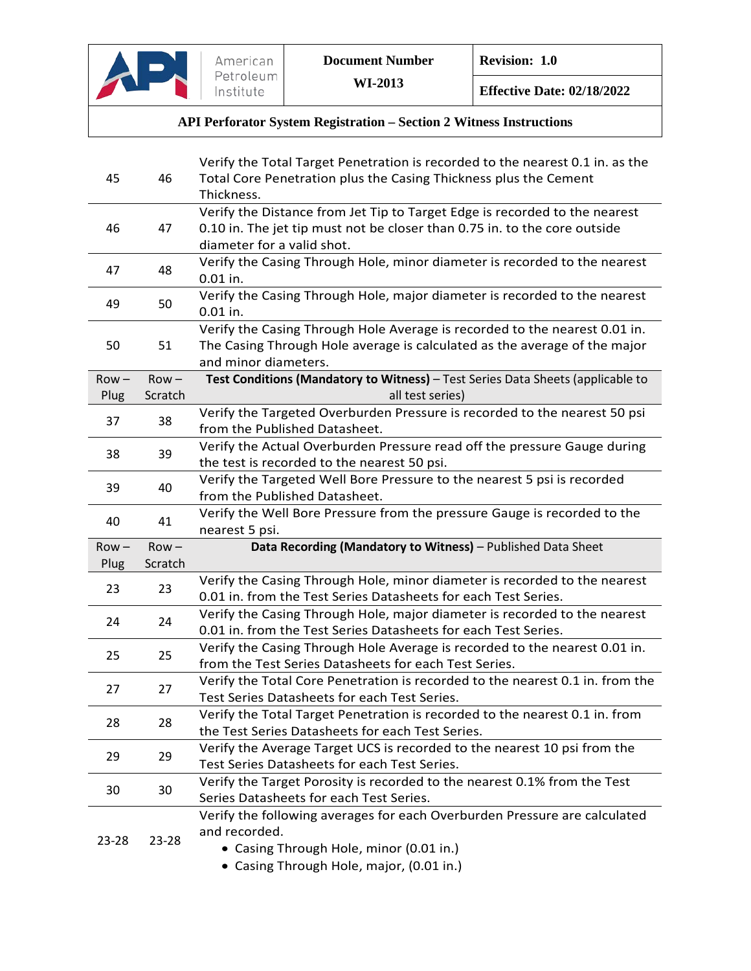

| 45      | 46      | Verify the Total Target Penetration is recorded to the nearest 0.1 in. as the<br>Total Core Penetration plus the Casing Thickness plus the Cement |
|---------|---------|---------------------------------------------------------------------------------------------------------------------------------------------------|
|         |         | Thickness.                                                                                                                                        |
| 46      |         | Verify the Distance from Jet Tip to Target Edge is recorded to the nearest                                                                        |
|         | 47      | 0.10 in. The jet tip must not be closer than 0.75 in. to the core outside<br>diameter for a valid shot.                                           |
|         |         | Verify the Casing Through Hole, minor diameter is recorded to the nearest                                                                         |
| 47      | 48      | $0.01$ in.                                                                                                                                        |
|         | 50      | Verify the Casing Through Hole, major diameter is recorded to the nearest                                                                         |
| 49      |         | $0.01$ in.                                                                                                                                        |
|         |         | Verify the Casing Through Hole Average is recorded to the nearest 0.01 in.                                                                        |
| 50      | 51      | The Casing Through Hole average is calculated as the average of the major                                                                         |
|         |         | and minor diameters.                                                                                                                              |
| $Row -$ | $Row -$ | Test Conditions (Mandatory to Witness) - Test Series Data Sheets (applicable to                                                                   |
| Plug    | Scratch | all test series)                                                                                                                                  |
| 37      | 38      | Verify the Targeted Overburden Pressure is recorded to the nearest 50 psi                                                                         |
|         |         | from the Published Datasheet.                                                                                                                     |
| 38      | 39      | Verify the Actual Overburden Pressure read off the pressure Gauge during                                                                          |
|         |         | the test is recorded to the nearest 50 psi.                                                                                                       |
| 39      | 40      | Verify the Targeted Well Bore Pressure to the nearest 5 psi is recorded                                                                           |
|         |         | from the Published Datasheet.                                                                                                                     |
|         |         |                                                                                                                                                   |
|         |         | Verify the Well Bore Pressure from the pressure Gauge is recorded to the                                                                          |
| 40      | 41      | nearest 5 psi.                                                                                                                                    |
| $Row -$ | $Row -$ | Data Recording (Mandatory to Witness) - Published Data Sheet                                                                                      |
| Plug    | Scratch |                                                                                                                                                   |
|         |         | Verify the Casing Through Hole, minor diameter is recorded to the nearest                                                                         |
| 23      | 23      | 0.01 in. from the Test Series Datasheets for each Test Series.                                                                                    |
|         |         | Verify the Casing Through Hole, major diameter is recorded to the nearest                                                                         |
| 24      | 24      | 0.01 in. from the Test Series Datasheets for each Test Series.                                                                                    |
|         |         | Verify the Casing Through Hole Average is recorded to the nearest 0.01 in.                                                                        |
| 25      | 25      | from the Test Series Datasheets for each Test Series.                                                                                             |
|         |         | Verify the Total Core Penetration is recorded to the nearest 0.1 in. from the                                                                     |
| 27      | 27      | Test Series Datasheets for each Test Series.                                                                                                      |
|         |         | Verify the Total Target Penetration is recorded to the nearest 0.1 in. from                                                                       |
| 28      | 28      | the Test Series Datasheets for each Test Series.                                                                                                  |
|         |         | Verify the Average Target UCS is recorded to the nearest 10 psi from the                                                                          |
| 29      | 29      | Test Series Datasheets for each Test Series.                                                                                                      |
|         |         | Verify the Target Porosity is recorded to the nearest 0.1% from the Test                                                                          |
| 30      | 30      | Series Datasheets for each Test Series.                                                                                                           |
|         |         | Verify the following averages for each Overburden Pressure are calculated                                                                         |
|         |         | and recorded.                                                                                                                                     |
| 23-28   | 23-28   | • Casing Through Hole, minor (0.01 in.)<br>• Casing Through Hole, major, (0.01 in.)                                                               |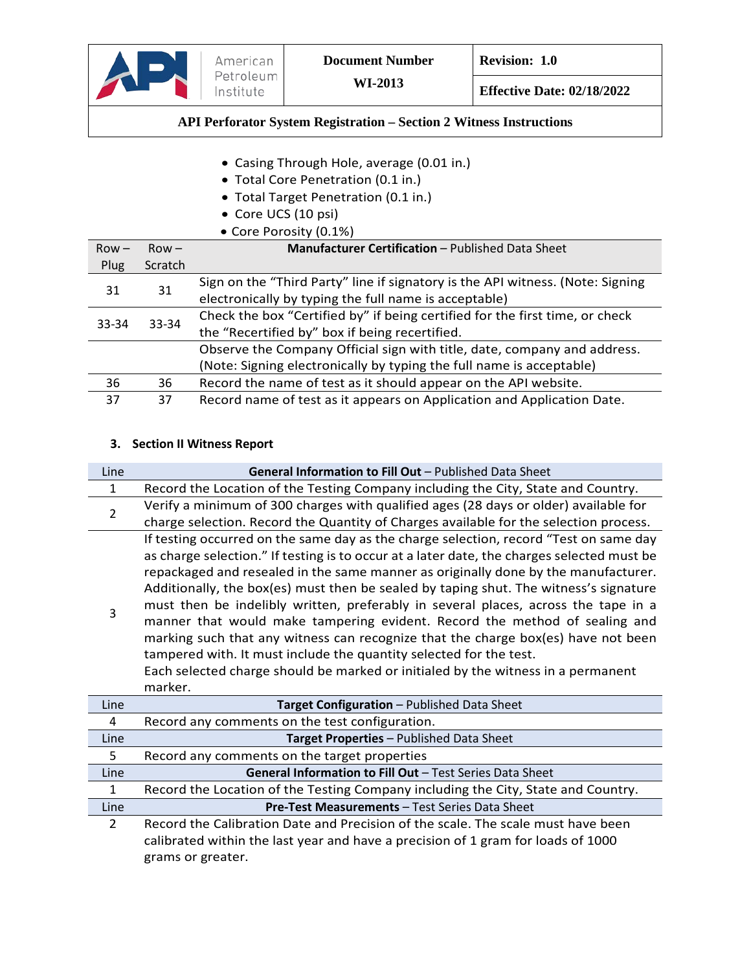

- Casing Through Hole, average (0.01 in.)
- Total Core Penetration (0.1 in.)
- Total Target Penetration (0.1 in.)
- Core UCS (10 psi)

|         |         | • Core Porosity (0.1%)                                                         |
|---------|---------|--------------------------------------------------------------------------------|
| $Row -$ | $Row -$ | <b>Manufacturer Certification - Published Data Sheet</b>                       |
| Plug    | Scratch |                                                                                |
| 31      | 31      | Sign on the "Third Party" line if signatory is the API witness. (Note: Signing |
|         |         | electronically by typing the full name is acceptable)                          |
| 33-34   | 33-34   | Check the box "Certified by" if being certified for the first time, or check   |
|         |         | the "Recertified by" box if being recertified.                                 |
|         |         | Observe the Company Official sign with title, date, company and address.       |
|         |         | (Note: Signing electronically by typing the full name is acceptable)           |
| 36      | 36      | Record the name of test as it should appear on the API website.                |
| 37      | 37      | Record name of test as it appears on Application and Application Date.         |

#### **3. Section II Witness Report**

| Line           | General Information to Fill Out - Published Data Sheet                                                                                                                                                                                                                                                                                                                                                                                                                                                                                                                                                                                                                                                                                                                                           |
|----------------|--------------------------------------------------------------------------------------------------------------------------------------------------------------------------------------------------------------------------------------------------------------------------------------------------------------------------------------------------------------------------------------------------------------------------------------------------------------------------------------------------------------------------------------------------------------------------------------------------------------------------------------------------------------------------------------------------------------------------------------------------------------------------------------------------|
| 1              | Record the Location of the Testing Company including the City, State and Country.                                                                                                                                                                                                                                                                                                                                                                                                                                                                                                                                                                                                                                                                                                                |
| $\overline{2}$ | Verify a minimum of 300 charges with qualified ages (28 days or older) available for                                                                                                                                                                                                                                                                                                                                                                                                                                                                                                                                                                                                                                                                                                             |
|                | charge selection. Record the Quantity of Charges available for the selection process.                                                                                                                                                                                                                                                                                                                                                                                                                                                                                                                                                                                                                                                                                                            |
| 3              | If testing occurred on the same day as the charge selection, record "Test on same day<br>as charge selection." If testing is to occur at a later date, the charges selected must be<br>repackaged and resealed in the same manner as originally done by the manufacturer.<br>Additionally, the box(es) must then be sealed by taping shut. The witness's signature<br>must then be indelibly written, preferably in several places, across the tape in a<br>manner that would make tampering evident. Record the method of sealing and<br>marking such that any witness can recognize that the charge box(es) have not been<br>tampered with. It must include the quantity selected for the test.<br>Each selected charge should be marked or initialed by the witness in a permanent<br>marker. |
| Line           | Target Configuration - Published Data Sheet                                                                                                                                                                                                                                                                                                                                                                                                                                                                                                                                                                                                                                                                                                                                                      |
| 4              | Record any comments on the test configuration.                                                                                                                                                                                                                                                                                                                                                                                                                                                                                                                                                                                                                                                                                                                                                   |
| Line           | Target Properties - Published Data Sheet                                                                                                                                                                                                                                                                                                                                                                                                                                                                                                                                                                                                                                                                                                                                                         |
| 5              | Record any comments on the target properties                                                                                                                                                                                                                                                                                                                                                                                                                                                                                                                                                                                                                                                                                                                                                     |
| Line           | General Information to Fill Out - Test Series Data Sheet                                                                                                                                                                                                                                                                                                                                                                                                                                                                                                                                                                                                                                                                                                                                         |

1 Record the Location of the Testing Company including the City, State and Country. Line **Pre-Test Measurements** – Test Series Data Sheet 2 Record the Calibration Date and Precision of the scale. The scale must have been

calibrated within the last year and have a precision of 1 gram for loads of 1000 grams or greater.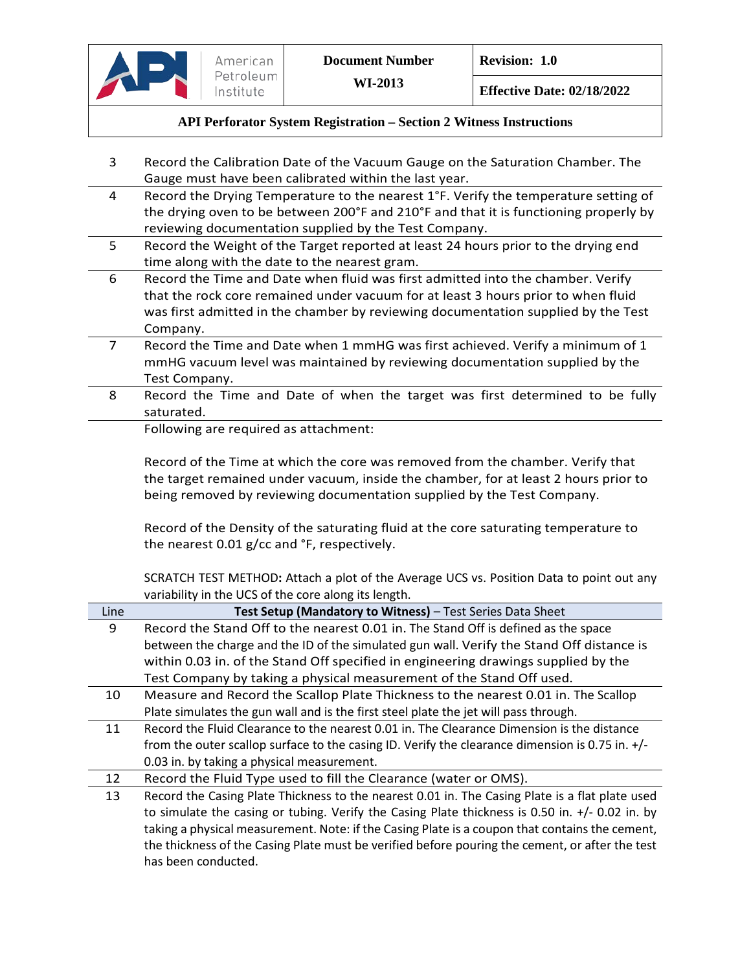

- 3 Record the Calibration Date of the Vacuum Gauge on the Saturation Chamber. The Gauge must have been calibrated within the last year.
- 4 Record the Drying Temperature to the nearest 1°F. Verify the temperature setting of the drying oven to be between 200°F and 210°F and that it is functioning properly by reviewing documentation supplied by the Test Company.
- 5 Record the Weight of the Target reported at least 24 hours prior to the drying end time along with the date to the nearest gram.
- 6 Record the Time and Date when fluid was first admitted into the chamber. Verify that the rock core remained under vacuum for at least 3 hours prior to when fluid was first admitted in the chamber by reviewing documentation supplied by the Test Company.
- 7 Record the Time and Date when 1 mmHG was first achieved. Verify a minimum of 1 mmHG vacuum level was maintained by reviewing documentation supplied by the Test Company.
- 8 Record the Time and Date of when the target was first determined to be fully saturated.

Following are required as attachment:

Record of the Time at which the core was removed from the chamber. Verify that the target remained under vacuum, inside the chamber, for at least 2 hours prior to being removed by reviewing documentation supplied by the Test Company.

Record of the Density of the saturating fluid at the core saturating temperature to the nearest 0.01 g/cc and °F, respectively.

SCRATCH TEST METHOD**:** Attach a plot of the Average UCS vs. Position Data to point out any variability in the UCS of the core along its length.

| Line | Test Setup (Mandatory to Witness) - Test Series Data Sheet                                      |
|------|-------------------------------------------------------------------------------------------------|
| 9    | Record the Stand Off to the nearest 0.01 in. The Stand Off is defined as the space              |
|      | between the charge and the ID of the simulated gun wall. Verify the Stand Off distance is       |
|      | within 0.03 in. of the Stand Off specified in engineering drawings supplied by the              |
|      | Test Company by taking a physical measurement of the Stand Off used.                            |
| 10   | Measure and Record the Scallop Plate Thickness to the nearest 0.01 in. The Scallop              |
|      | Plate simulates the gun wall and is the first steel plate the jet will pass through.            |
| 11   | Record the Fluid Clearance to the nearest 0.01 in. The Clearance Dimension is the distance      |
|      | from the outer scallop surface to the casing ID. Verify the clearance dimension is 0.75 in. +/- |
|      | 0.03 in. by taking a physical measurement.                                                      |
| 12   | Record the Fluid Type used to fill the Clearance (water or OMS).                                |
| 13   | Record the Casing Plate Thickness to the nearest 0.01 in. The Casing Plate is a flat plate used |
|      | to simulate the casing or tubing. Verify the Casing Plate thickness is 0.50 in. +/- 0.02 in. by |
|      | taking a physical measurement. Note: if the Casing Plate is a coupon that contains the cement,  |
|      | the thickness of the Casing Plate must be verified before pouring the cement, or after the test |
|      | has been conducted.                                                                             |